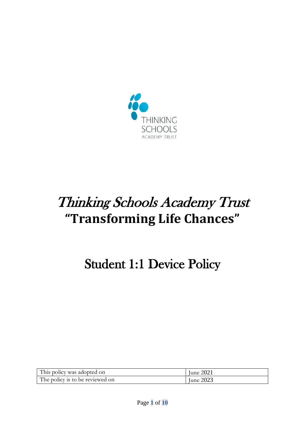

# Thinking Schools Academy Trust **"Transforming Life Chances"**

# Student 1:1 Device Policy

| This policy was adopted on      | June 2021 |
|---------------------------------|-----------|
| The policy is to be reviewed on | June 2023 |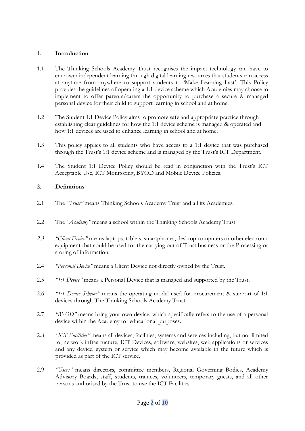#### **1. Introduction**

- 1.1 The Thinking Schools Academy Trust recognises the impact technology can have to empower independent learning through digital learning resources that students can access at anytime from anywhere to support students to 'Make Learning Last'. This Policy provides the guidelines of operating a 1:1 device scheme which Academies may choose to implement to offer parents/carers the opportunity to purchase a secure & managed personal device for their child to support learning in school and at home.
- 1.2 The Student 1:1 Device Policy aims to promote safe and appropriate practice through establishing clear guidelines for how the 1:1 device scheme is managed & operated and how 1:1 devices are used to enhance learning in school and at home.
- 1.3 This policy applies to all students who have access to a 1:1 device that was purchased through the Trust's 1:1 device scheme and is managed by the Trust's ICT Department.
- 1.4 The Student 1:1 Device Policy should be read in conjunction with the Trust's ICT Acceptable Use, ICT Monitoring, BYOD and Mobile Device Policies.

### **2. Definitions**

- 2.1 The *"Trust"* means Thinking Schools Academy Trust and all its Academies.
- 2.2 The *"Academy"* means a school within the Thinking Schools Academy Trust.
- *2.3 "Client Device"* means laptops, tablets, smartphones, desktop computers or other electronic equipment that could be used for the carrying out of Trust business or the Processing or storing of information.
- 2.4 *"Personal Device"* means a Client Device not directly owned by the Trust.
- 2.5 *"1:1 Device"* means a Personal Device that is managed and supported by the Trust.
- 2.6 *"1:1 Device Scheme"* means the operating model used for procurement & support of 1:1 devices through The Thinking Schools Academy Trust.
- 2.7 *"BYOD"* means bring your own device, which specifically refers to the use of a personal device within the Academy for educational purposes.
- 2.8 *"ICT Facilities"* means all devices, facilities, systems and services including, but not limited to, network infrastructure, ICT Devices, software, websites, web applications or services and any device, system or service which may become available in the future which is provided as part of the ICT service.
- 2.9 *"Users"* means directors, committee members, Regional Governing Bodies, Academy Advisory Boards, staff, students, trainees, volunteers, temporary guests, and all other persons authorised by the Trust to use the ICT Facilities.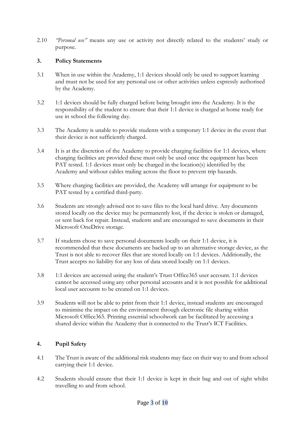2.10 *"Personal use"* means any use or activity not directly related to the students' study or purpose.

#### **3. Policy Statements**

- 3.1 When in use within the Academy, 1:1 devices should only be used to support learning and must not be used for any personal use or other activities unless expressly authorised by the Academy.
- 3.2 1:1 devices should be fully charged before being brought into the Academy. It is the responsibility of the student to ensure that their 1:1 device is charged at home ready for use in school the following day.
- 3.3 The Academy is unable to provide students with a temporary 1:1 device in the event that their device is not sufficiently charged.
- 3.4 It is at the discretion of the Academy to provide charging facilities for 1:1 devices, where charging facilities are provided these must only be used once the equipment has been PAT tested. 1:1 devices must only be charged in the location(s) identified by the Academy and without cables trailing across the floor to prevent trip hazards.
- 3.5 Where charging facilities are provided, the Academy will arrange for equipment to be PAT tested by a certified third-party.
- 3.6 Students are strongly advised not to save files to the local hard drive. Any documents stored locally on the device may be permanently lost, if the device is stolen or damaged, or sent back for repair. Instead, students and are encouraged to save documents in their Microsoft OneDrive storage.
- 3.7 If students chose to save personal documents locally on their 1:1 device, it is recommended that these documents are backed up to an alternative storage device, as the Trust is not able to recover files that are stored locally on 1:1 devices. Additionally, the Trust accepts no liability for any loss of data stored locally on 1:1 devices.
- 3.8 1:1 devices are accessed using the student's Trust Office365 user account. 1:1 devices cannot be accessed using any other personal accounts and it is not possible for additional local user accounts to be created on 1:1 devices.
- 3.9 Students will not be able to print from their 1:1 device, instead students are encouraged to minimise the impact on the environment through electronic file sharing within Microsoft Office365. Printing essential schoolwork can be facilitated by accessing a shared device within the Academy that is connected to the Trust's ICT Facilities.

#### **4. Pupil Safety**

- 4.1 The Trust is aware of the additional risk students may face on their way to and from school carrying their 1:1 device.
- 4.2 Students should ensure that their 1:1 device is kept in their bag and out of sight whilst travelling to and from school.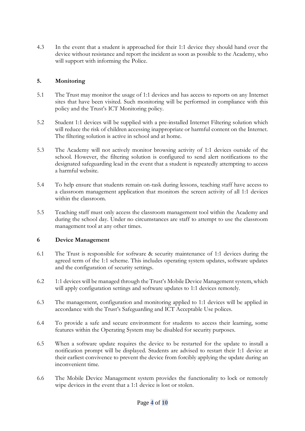4.3 In the event that a student is approached for their 1:1 device they should hand over the device without resistance and report the incident as soon as possible to the Academy, who will support with informing the Police.

#### **5. Monitoring**

- 5.1 The Trust may monitor the usage of 1:1 devices and has access to reports on any Internet sites that have been visited. Such monitoring will be performed in compliance with this policy and the Trust's ICT Monitoring policy.
- 5.2 Student 1:1 devices will be supplied with a pre-installed Internet Filtering solution which will reduce the risk of children accessing inappropriate or harmful content on the Internet. The filtering solution is active in school and at home.
- 5.3 The Academy will not actively monitor browsing activity of 1:1 devices outside of the school. However, the filtering solution is configured to send alert notifications to the designated safeguarding lead in the event that a student is repeatedly attempting to access a harmful website.
- 5.4 To help ensure that students remain on-task during lessons, teaching staff have access to a classroom management application that monitors the screen activity of all 1:1 devices within the classroom.
- 5.5 Teaching staff must only access the classroom management tool within the Academy and during the school day. Under no circumstances are staff to attempt to use the classroom management tool at any other times.

#### **6 Device Management**

- 6.1 The Trust is responsible for software & security maintenance of 1:1 devices during the agreed term of the 1:1 scheme. This includes operating system updates, software updates and the configuration of security settings.
- 6.2 1:1 devices will be managed through the Trust's Mobile Device Management system, which will apply configuration settings and software updates to 1:1 devices remotely.
- 6.3 The management, configuration and monitoring applied to 1:1 devices will be applied in accordance with the Trust's Safeguarding and ICT Acceptable Use polices.
- 6.4 To provide a safe and secure environment for students to access their learning, some features within the Operating System may be disabled for security purposes.
- 6.5 When a software update requires the device to be restarted for the update to install a notification prompt will be displayed. Students are advised to restart their 1:1 device at their earliest convivence to prevent the device from forcibly applying the update during an inconvenient time.
- 6.6 The Mobile Device Management system provides the functionality to lock or remotely wipe devices in the event that a 1:1 device is lost or stolen.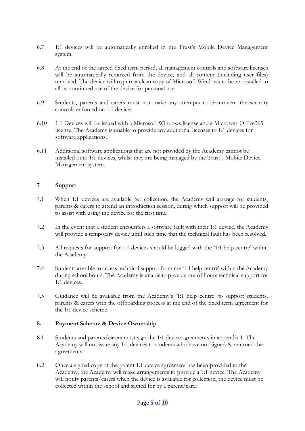- 6.7 1:1 devices will be automatically enrolled in the Trust's Mobile Device Management system.
- 6.8 At the end of the agreed fixed term period, all management controls and software licenses will be automatically removed from the device, and all content (including user files) removed. The device will require a clean copy of Microsoft Windows to be re-installed to allow continued use of the device for personal use.
- 6.9 Students, parents and carers must not make any attempts to circumvent the security controls enforced on 1:1 devices.
- 6.10 1:1 Devices will be issued with a Microsoft Windows license and a Microsoft Office365 license. The Academy is unable to provide any additional licenses to 1:1 devices for software applications.
- 6.11 Additional software applications that are not provided by the Academy cannot be installed onto 1:1 devices, whilst they are being managed by the Trust's Mobile Device Management system.

#### **7 Support**

- 7.1 When 1:1 devices are available for collection, the Academy will arrange for students, parents & carers to attend an introduction session, during which support will be provided to assist with using the device for the first time.
- 7.2 In the event that a student encounters a software fault with their 1:1 device, the Academy will provide a temporary device until such time that the technical fault has been resolved.
- 7.3 All requests for support for 1:1 devices should be logged with the '1:1 help centre' within the Academy.
- 7.4 Students are able to access technical support from the '1:1 help centre' within the Academy during school hours. The Academy is unable to provide out of hours technical support for 1:1 devices.
- 7.5 Guidance will be available from the Academy's '1:1 help centre' to support students, parents & carers with the offboarding process at the end of the fixed term agreement for the 1:1 device scheme.

#### **8. Payment Scheme & Device Ownership**

- 8.1 Students and parents/carers must sign the 1:1 device agreements in appendix 1. The Academy will not issue any 1:1 devices to students who have not signed & returned the agreements.
- 8.2 Once a signed copy of the parent 1:1 device agreement has been provided to the Academy, the Academy will make arrangements to provide a 1:1 device. The Academy will notify parents/carers when the device is available for collection, the device must be collected within the school and signed for by a parent/carer.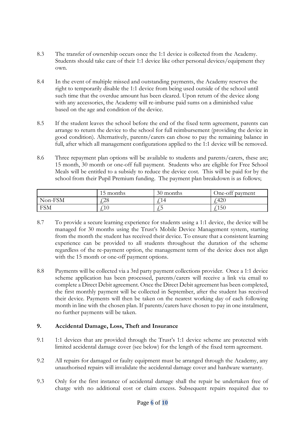- 8.3 The transfer of ownership occurs once the 1:1 device is collected from the Academy. Students should take care of their 1:1 device like other personal devices/equipment they own.
- 8.4 In the event of multiple missed and outstanding payments, the Academy reserves the right to temporarily disable the 1:1 device from being used outside of the school until such time that the overdue amount has been cleared. Upon return of the device along with any accessories, the Academy will re-imburse paid sums on a diminished value based on the age and condition of the device.
- 8.5 If the student leaves the school before the end of the fixed term agreement, parents can arrange to return the device to the school for full reimbursement (providing the device in good condition). Alternatively, parents/carers can chose to pay the remaining balance in full, after which all management configurations applied to the 1:1 device will be removed.
- 8.6 Three repayment plan options will be available to students and parents/carers, these are; 15 month, 30 month or one-off full payment. Students who are eligible for Free School Meals will be entitled to a subsidy to reduce the device cost. This will be paid for by the school from their Pupil Premium funding. The payment plan breakdown is as follows;

|            | 15 months         | 30 months  | One-off payment |
|------------|-------------------|------------|-----------------|
| Non-FSM    | ∩ר״<br>$\angle$ C | $\Delta$   | 420             |
| <b>FSM</b> |                   | $\sim$ $-$ | $^{\circ}150$   |

- 8.7 To provide a secure learning experience for students using a 1:1 device, the device will be managed for 30 months using the Trust's Mobile Device Management system, starting from the month the student has received their device. To ensure that a consistent learning experience can be provided to all students throughout the duration of the scheme regardless of the re-payment option, the management term of the device does not align with the 15 month or one-off payment options.
- 8.8 Payments will be collected via a 3rd party payment collections provider. Once a 1:1 device scheme application has been processed, parents/carers will receive a link via email to complete a Direct Debit agreement. Once the Direct Debit agreement has been completed, the first monthly payment will be collected in September, after the student has received their device. Payments will then be taken on the nearest working day of each following month in line with the chosen plan. If parents/carers have chosen to pay in one instalment, no further payments will be taken.

#### **9. Accidental Damage, Loss, Theft and Insurance**

- 9.1 1:1 devices that are provided through the Trust's 1:1 device scheme are protected with limited accidental damage cover (see below) for the length of the fixed term agreement.
- 9.2 All repairs for damaged or faulty equipment must be arranged through the Academy, any unauthorised repairs will invalidate the accidental damage cover and hardware warranty.
- 9.3 Only for the first instance of accidental damage shall the repair be undertaken free of charge with no additional cost or claim excess. Subsequent repairs required due to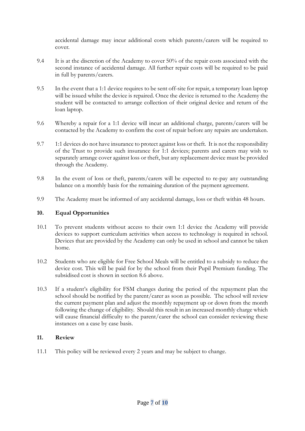accidental damage may incur additional costs which parents/carers will be required to cover.

- 9.4 It is at the discretion of the Academy to cover 50% of the repair costs associated with the second instance of accidental damage. All further repair costs will be required to be paid in full by parents/carers.
- 9.5 In the event that a 1:1 device requires to be sent off-site for repair, a temporary loan laptop will be issued whilst the device is repaired. Once the device is returned to the Academy the student will be contacted to arrange collection of their original device and return of the loan laptop.
- 9.6 Whereby a repair for a 1:1 device will incur an additional charge, parents/carers will be contacted by the Academy to confirm the cost of repair before any repairs are undertaken.
- 9.7 1:1 devices do not have insurance to protect against loss or theft. It is not the responsibility of the Trust to provide such insurance for 1:1 devices; parents and carers may wish to separately arrange cover against loss or theft, but any replacement device must be provided through the Academy.
- 9.8 In the event of loss or theft, parents/carers will be expected to re-pay any outstanding balance on a monthly basis for the remaining duration of the payment agreement.
- 9.9 The Academy must be informed of any accidental damage, loss or theft within 48 hours.

#### **10. Equal Opportunities**

- 10.1 To prevent students without access to their own 1:1 device the Academy will provide devices to support curriculum activities when access to technology is required in school. Devices that are provided by the Academy can only be used in school and cannot be taken home.
- 10.2 Students who are eligible for Free School Meals will be entitled to a subsidy to reduce the device cost. This will be paid for by the school from their Pupil Premium funding. The subsidised cost is shown in section 8.6 above.
- 10.3 If a student's eligibility for FSM changes during the period of the repayment plan the school should be notified by the parent/carer as soon as possible. The school will review the current payment plan and adjust the monthly repayment up or down from the month following the change of eligibility. Should this result in an increased monthly charge which will cause financial difficulty to the parent/carer the school can consider reviewing these instances on a case by case basis.

#### **11. Review**

11.1 This policy will be reviewed every 2 years and may be subject to change.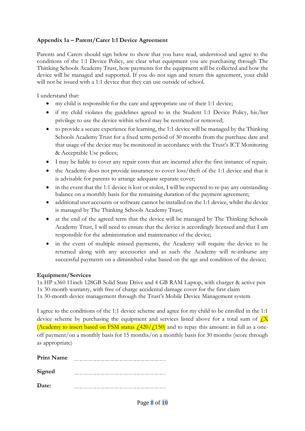# **Appendix 1a – Parent/Carer 1:1 Device Agreement**

Parents and Carers should sign below to show that you have read, understood and agree to the conditions of the 1:1 Device Policy, are clear what equipment you are purchasing through The Thinking Schools Academy Trust, how payments for the equipment will be collected and how the device will be managed and supported. If you do not sign and return this agreement, your child will not be issued with a 1:1 device that they can use outside of school.

I understand that:

- my child is responsible for the care and appropriate use of their 1:1 device;
- if my child violates the guidelines agreed to in the Student 1:1 Device Policy, his/her privilege to use the device within school may be restricted or removed;
- to provide a secure experience for learning, the 1:1 device will be managed by the Thinking Schools Academy Trust for a fixed term period of 30 months from the purchase date and that usage of the device may be monitored in accordance with the Trust's ICT Monitoring & Acceptable Use polices;
- I may be liable to cover any repair costs that are incurred after the first instance of repair;
- the Academy does not provide insurance to cover loss/theft of the 1:1 device and that it is advisable for parents to arrange adequate separate cover;
- in the event that the 1:1 device is lost or stolen, I will be expected to re-pay any outstanding balance on a monthly basis for the remaining duration of the payment agreement;
- additional user accounts or software cannot be installed on the 1:1 device, whilst the device is managed by The Thinking Schools Academy Trust;
- at the end of the agreed term that the device will be managed by The Thinking Schools Academy Trust, I will need to ensure that the device is accordingly licensed and that I am responsible for the administration and maintenance of the device;
- in the event of multiple missed payments, the Academy will require the device to be returned along with any accessories and as such the Academy will re-imburse any successful payments on a diminished value based on the age and condition of the device;

#### **Equipment/Services**

1x HP x360 11inch 128GB Solid State Drive and 4 GB RAM Laptop, with charger & active pen 1x 30-month warranty, with free of charge accidental damage cover for the first claim 1x 30-month device management through the Trust's Mobile Device Management system

I agree to the conditions of the 1:1 device scheme and agree for my child to be enrolled in the 1:1 device scheme by purchasing the equipment and services listed above for a total sum of  $\sqrt{X}$ (Academy to insert based on FSM status  $\frac{1}{420}/\frac{150}{150}$  and to repay this amount: in full as a oneoff payment/on a monthly basis for 15 months/on a monthly basis for 30 months (score through as appropriate)

| <b>Print Name</b> |  |
|-------------------|--|
| Signed            |  |
| Date:             |  |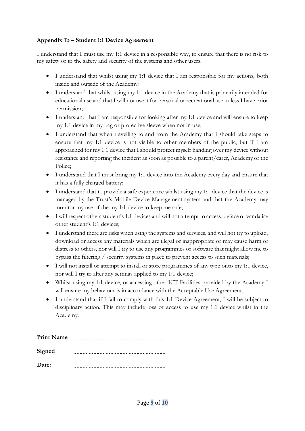# **Appendix 1b – Student 1:1 Device Agreement**

I understand that I must use my 1:1 device in a responsible way, to ensure that there is no risk to my safety or to the safety and security of the systems and other users.

- I understand that whilst using my 1:1 device that I am responsible for my actions, both inside and outside of the Academy:
- I understand that whilst using my 1:1 device in the Academy that is primarily intended for educational use and that I will not use it for personal or recreational use unless I have prior permission;
- I understand that I am responsible for looking after my 1:1 device and will ensure to keep my 1:1 device in my bag or protective sleeve when not in use;
- I understand that when travelling to and from the Academy that I should take steps to ensure that my 1:1 device is not visible to other members of the public, but if I am approached for my 1:1 device that I should protect myself handing over my device without resistance and reporting the incident as soon as possible to a parent/carer, Academy or the Police;
- I understand that I must bring my 1:1 device into the Academy every day and ensure that it has a fully charged battery;
- I understand that to provide a safe experience whilst using my 1:1 device that the device is managed by the Trust's Mobile Device Management system and that the Academy may monitor my use of the my 1:1 device to keep me safe;
- I will respect others student's 1:1 devices and will not attempt to access, deface or vandalise other student's 1:1 devices;
- I understand there are risks when using the systems and services, and will not try to upload, download or access any materials which are illegal or inappropriate or may cause harm or distress to others, nor will I try to use any programmes or software that might allow me to bypass the filtering / security systems in place to prevent access to such materials;
- I will not install or attempt to install or store programmes of any type onto my 1:1 device, nor will I try to alter any settings applied to my 1:1 device;
- Whilst using my 1:1 device, or accessing other ICT Facilities provided by the Academy I will ensure my behaviour is in accordance with the Acceptable Use Agreement.
- I understand that if I fail to comply with this 1:1 Device Agreement, I will be subject to disciplinary action. This may include loss of access to use my 1:1 device whilst in the Academy.

| <b>Print Name</b> |  |
|-------------------|--|
| Signed            |  |
| Date:             |  |